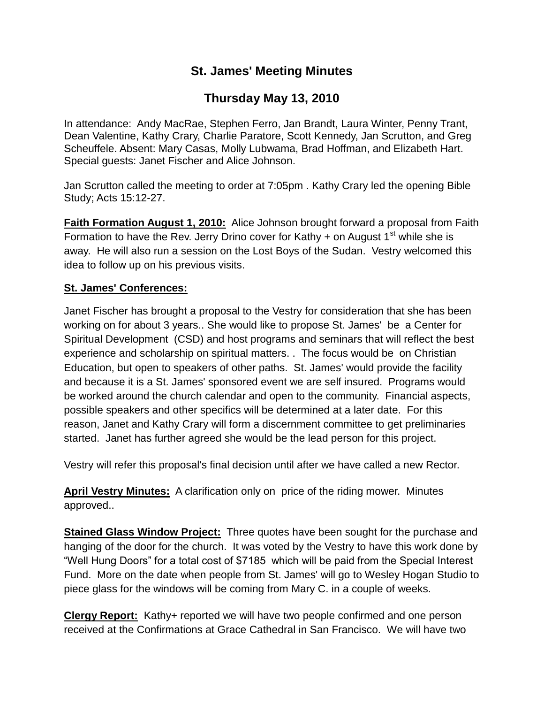## **St. James' Meeting Minutes**

# **Thursday May 13, 2010**

In attendance: Andy MacRae, Stephen Ferro, Jan Brandt, Laura Winter, Penny Trant, Dean Valentine, Kathy Crary, Charlie Paratore, Scott Kennedy, Jan Scrutton, and Greg Scheuffele. Absent: Mary Casas, Molly Lubwama, Brad Hoffman, and Elizabeth Hart. Special guests: Janet Fischer and Alice Johnson.

Jan Scrutton called the meeting to order at 7:05pm . Kathy Crary led the opening Bible Study; Acts 15:12-27.

**Faith Formation August 1, 2010:** Alice Johnson brought forward a proposal from Faith Formation to have the Rev. Jerry Drino cover for Kathy + on August  $1<sup>st</sup>$  while she is away. He will also run a session on the Lost Boys of the Sudan. Vestry welcomed this idea to follow up on his previous visits.

### **St. James' Conferences:**

Janet Fischer has brought a proposal to the Vestry for consideration that she has been working on for about 3 years.. She would like to propose St. James' be a Center for Spiritual Development (CSD) and host programs and seminars that will reflect the best experience and scholarship on spiritual matters. . The focus would be on Christian Education, but open to speakers of other paths. St. James' would provide the facility and because it is a St. James' sponsored event we are self insured. Programs would be worked around the church calendar and open to the community. Financial aspects, possible speakers and other specifics will be determined at a later date. For this reason, Janet and Kathy Crary will form a discernment committee to get preliminaries started. Janet has further agreed she would be the lead person for this project.

Vestry will refer this proposal's final decision until after we have called a new Rector.

**April Vestry Minutes:** A clarification only on price of the riding mower. Minutes approved..

**Stained Glass Window Project:** Three quotes have been sought for the purchase and hanging of the door for the church. It was voted by the Vestry to have this work done by "Well Hung Doors" for a total cost of \$7185 which will be paid from the Special Interest Fund. More on the date when people from St. James' will go to Wesley Hogan Studio to piece glass for the windows will be coming from Mary C. in a couple of weeks.

**Clergy Report:** Kathy+ reported we will have two people confirmed and one person received at the Confirmations at Grace Cathedral in San Francisco. We will have two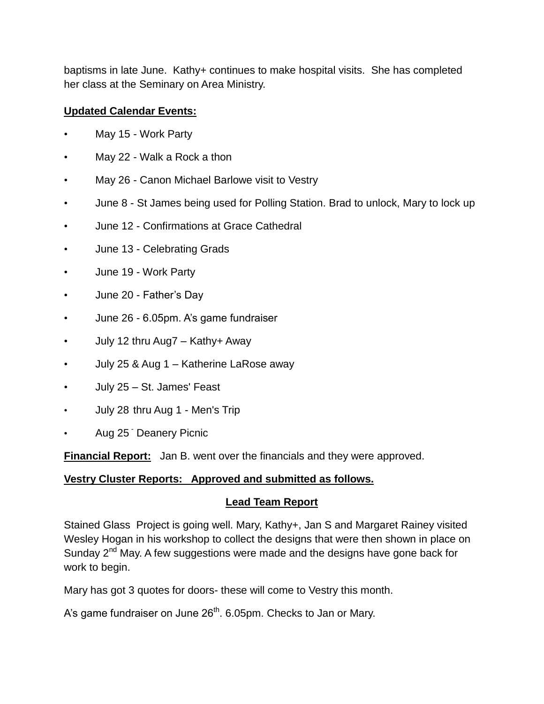baptisms in late June. Kathy+ continues to make hospital visits. She has completed her class at the Seminary on Area Ministry.

#### **Updated Calendar Events:**

- May 15 Work Party
- May 22 Walk a Rock a thon
- May 26 Canon Michael Barlowe visit to Vestry
- June 8 St James being used for Polling Station. Brad to unlock, Mary to lock up
- June 12 Confirmations at Grace Cathedral
- June 13 Celebrating Grads
- June 19 Work Party
- June 20 Father's Day
- June 26 6.05pm. A's game fundraiser
- July 12 thru Aug7 Kathy+ Away
- July 25 & Aug 1 Katherine LaRose away
- July 25 St. James' Feast
- July 28 thru Aug 1 Men's Trip
- Aug 25 Deanery Picnic

**Financial Report:** Jan B. went over the financials and they were approved.

### **Vestry Cluster Reports: Approved and submitted as follows.**

### **Lead Team Report**

Stained Glass Project is going well. Mary, Kathy+, Jan S and Margaret Rainey visited Wesley Hogan in his workshop to collect the designs that were then shown in place on Sunday 2<sup>nd</sup> May. A few suggestions were made and the designs have gone back for work to begin.

Mary has got 3 quotes for doors- these will come to Vestry this month.

A's game fundraiser on June  $26<sup>th</sup>$ . 6.05pm. Checks to Jan or Mary.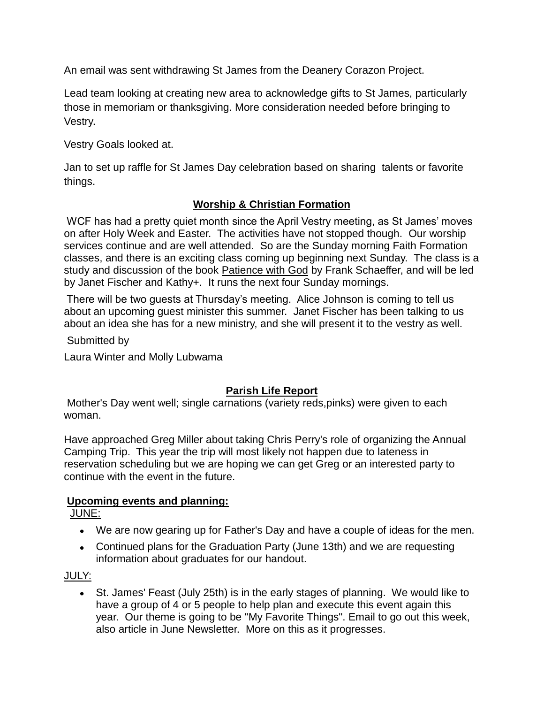An email was sent withdrawing St James from the Deanery Corazon Project.

Lead team looking at creating new area to acknowledge gifts to St James, particularly those in memoriam or thanksgiving. More consideration needed before bringing to Vestry.

Vestry Goals looked at.

Jan to set up raffle for St James Day celebration based on sharing talents or favorite things.

### **Worship & Christian Formation**

WCF has had a pretty quiet month since the April Vestry meeting, as St James' moves on after Holy Week and Easter. The activities have not stopped though. Our worship services continue and are well attended. So are the Sunday morning Faith Formation classes, and there is an exciting class coming up beginning next Sunday. The class is a study and discussion of the book Patience with God by Frank Schaeffer, and will be led by Janet Fischer and Kathy+. It runs the next four Sunday mornings.

There will be two guests at Thursday's meeting. Alice Johnson is coming to tell us about an upcoming guest minister this summer. Janet Fischer has been talking to us about an idea she has for a new ministry, and she will present it to the vestry as well.

Submitted by

Laura Winter and Molly Lubwama

### **Parish Life Report**

Mother's Day went well; single carnations (variety reds,pinks) were given to each woman.

Have approached Greg Miller about taking Chris Perry's role of organizing the Annual Camping Trip. This year the trip will most likely not happen due to lateness in reservation scheduling but we are hoping we can get Greg or an interested party to continue with the event in the future.

### **Upcoming events and planning:**

JUNE:

- We are now gearing up for Father's Day and have a couple of ideas for the men.
- Continued plans for the Graduation Party (June 13th) and we are requesting information about graduates for our handout.

JULY:

St. James' Feast (July 25th) is in the early stages of planning. We would like to have a group of 4 or 5 people to help plan and execute this event again this year. Our theme is going to be "My Favorite Things". Email to go out this week, also article in June Newsletter. More on this as it progresses.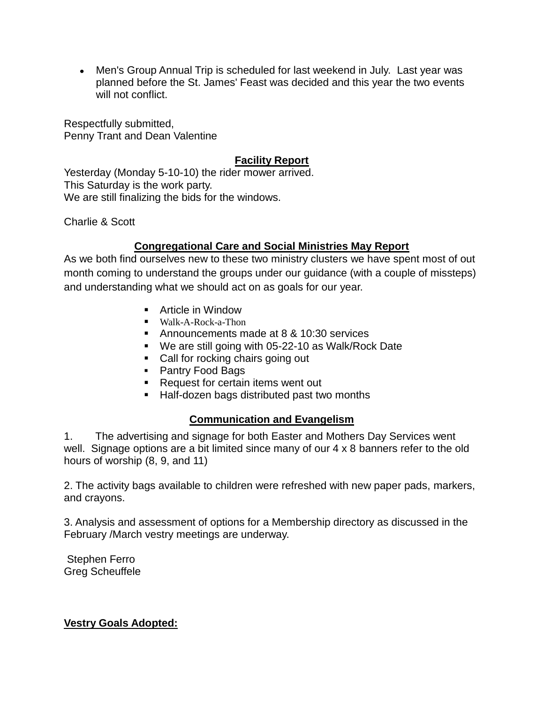Men's Group Annual Trip is scheduled for last weekend in July. Last year was planned before the St. James' Feast was decided and this year the two events will not conflict.

Respectfully submitted, Penny Trant and Dean Valentine

#### **Facility Report**

Yesterday (Monday 5-10-10) the rider mower arrived. This Saturday is the work party. We are still finalizing the bids for the windows.

Charlie & Scott

#### **Congregational Care and Social Ministries May Report**

As we both find ourselves new to these two ministry clusters we have spent most of out month coming to understand the groups under our guidance (with a couple of missteps) and understanding what we should act on as goals for our year.

- **Article in Window**
- Walk-A-Rock-a-Thon
- Announcements made at 8 & 10:30 services
- We are still going with 05-22-10 as Walk/Rock Date
- Call for rocking chairs going out
- Pantry Food Bags
- Request for certain items went out
- **Half-dozen bags distributed past two months**

#### **Communication and Evangelism**

1. The advertising and signage for both Easter and Mothers Day Services went well. Signage options are a bit limited since many of our 4 x 8 banners refer to the old hours of worship (8, 9, and 11)

2. The activity bags available to children were refreshed with new paper pads, markers, and crayons.

3. Analysis and assessment of options for a Membership directory as discussed in the February /March vestry meetings are underway.

Stephen Ferro Greg Scheuffele

**Vestry Goals Adopted:**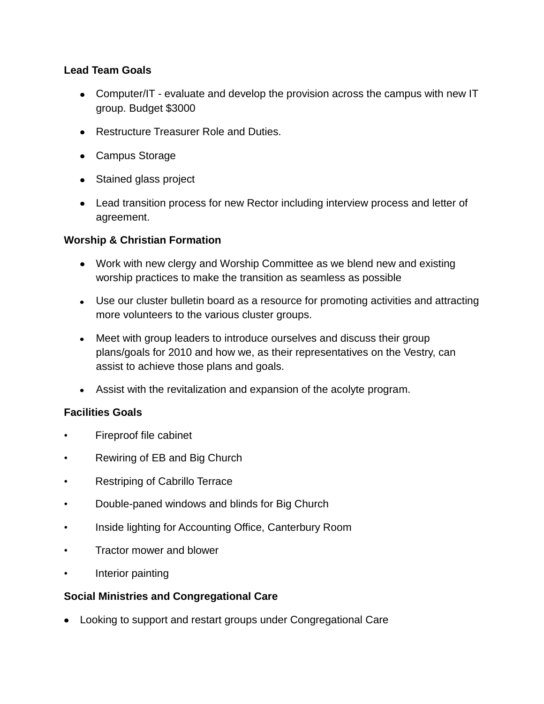#### **Lead Team Goals**

- Computer/IT evaluate and develop the provision across the campus with new IT group. Budget \$3000
- Restructure Treasurer Role and Duties.
- Campus Storage
- Stained glass project
- Lead transition process for new Rector including interview process and letter of agreement.

#### **Worship & Christian Formation**

- Work with new clergy and Worship Committee as we blend new and existing worship practices to make the transition as seamless as possible
- Use our cluster bulletin board as a resource for promoting activities and attracting more volunteers to the various cluster groups.
- Meet with group leaders to introduce ourselves and discuss their group plans/goals for 2010 and how we, as their representatives on the Vestry, can assist to achieve those plans and goals.
- Assist with the revitalization and expansion of the acolyte program.

#### **Facilities Goals**

- Fireproof file cabinet
- Rewiring of EB and Big Church
- Restriping of Cabrillo Terrace
- Double-paned windows and blinds for Big Church
- Inside lighting for Accounting Office, Canterbury Room
- Tractor mower and blower
- Interior painting

#### **Social Ministries and Congregational Care**

Looking to support and restart groups under Congregational Care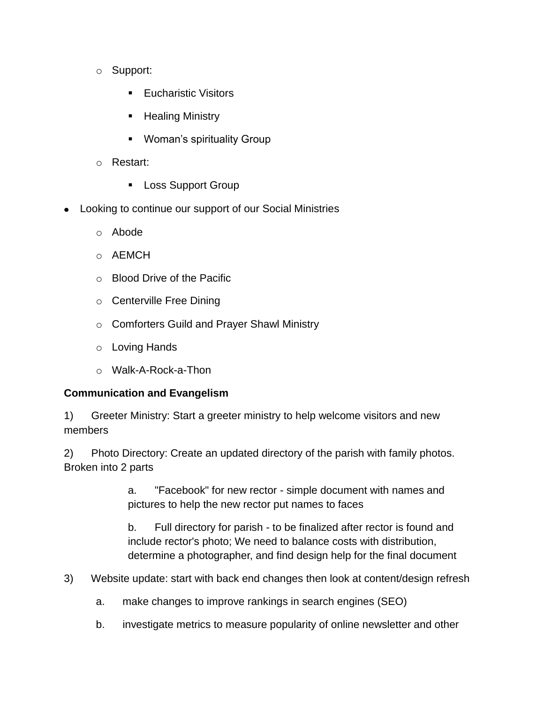- o Support:
	- Eucharistic Visitors
	- Healing Ministry
	- **Woman's spirituality Group**
- o Restart:
	- **Loss Support Group**
- Looking to continue our support of our Social Ministries
	- o Abode
	- o AEMCH
	- o Blood Drive of the Pacific
	- o Centerville Free Dining
	- o Comforters Guild and Prayer Shawl Ministry
	- o Loving Hands
	- o Walk-A-Rock-a-Thon

#### **Communication and Evangelism**

1) Greeter Ministry: Start a greeter ministry to help welcome visitors and new members

2) Photo Directory: Create an updated directory of the parish with family photos. Broken into 2 parts

> a. "Facebook" for new rector - simple document with names and pictures to help the new rector put names to faces

b. Full directory for parish - to be finalized after rector is found and include rector's photo; We need to balance costs with distribution, determine a photographer, and find design help for the final document

- 3) Website update: start with back end changes then look at content/design refresh
	- a. make changes to improve rankings in search engines (SEO)
	- b. investigate metrics to measure popularity of online newsletter and other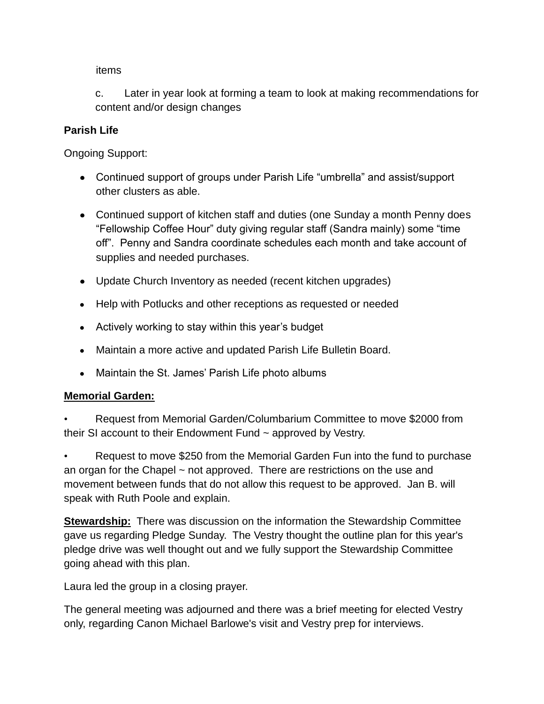items

c. Later in year look at forming a team to look at making recommendations for content and/or design changes

#### **Parish Life**

Ongoing Support:

- Continued support of groups under Parish Life "umbrella" and assist/support other clusters as able.
- Continued support of kitchen staff and duties (one Sunday a month Penny does "Fellowship Coffee Hour" duty giving regular staff (Sandra mainly) some "time off". Penny and Sandra coordinate schedules each month and take account of supplies and needed purchases.
- Update Church Inventory as needed (recent kitchen upgrades)
- Help with Potlucks and other receptions as requested or needed
- Actively working to stay within this year's budget
- Maintain a more active and updated Parish Life Bulletin Board.
- Maintain the St. James' Parish Life photo albums

### **Memorial Garden:**

• Request from Memorial Garden/Columbarium Committee to move \$2000 from their SI account to their Endowment Fund  $\sim$  approved by Vestry.

• Request to move \$250 from the Memorial Garden Fun into the fund to purchase an organ for the Chapel ~ not approved. There are restrictions on the use and movement between funds that do not allow this request to be approved. Jan B. will speak with Ruth Poole and explain.

**Stewardship:** There was discussion on the information the Stewardship Committee gave us regarding Pledge Sunday. The Vestry thought the outline plan for this year's pledge drive was well thought out and we fully support the Stewardship Committee going ahead with this plan.

Laura led the group in a closing prayer.

The general meeting was adjourned and there was a brief meeting for elected Vestry only, regarding Canon Michael Barlowe's visit and Vestry prep for interviews.